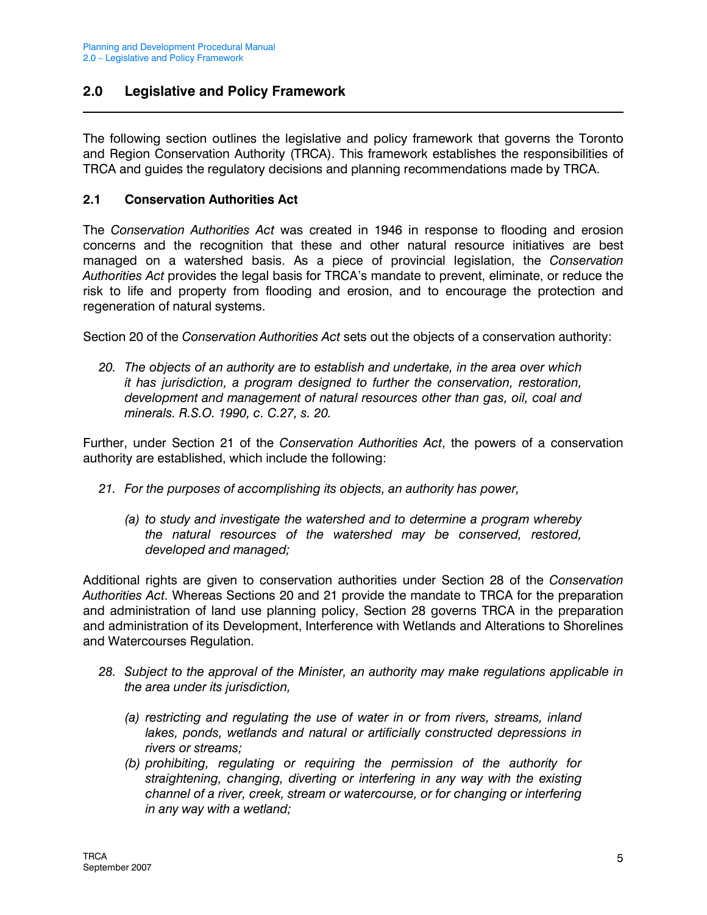## 2.0 Legislative and Policy Framework

The following section outlines the legislative and policy framework that governs the Toronto and Region Conservation Authority (TRCA). This framework establishes the responsibilities of TRCA and guides the regulatory decisions and planning recommendations made by TRCA.

#### 2.1 Conservation Authorities Act

The Conservation Authorities Act was created in 1946 in response to flooding and erosion concerns and the recognition that these and other natural resource initiatives are best managed on a watershed basis. As a piece of provincial legislation, the Conservation Authorities Act provides the legal basis for TRCA's mandate to prevent, eliminate, or reduce the risk to life and property from flooding and erosion, and to encourage the protection and regeneration of natural systems.

Section 20 of the Conservation Authorities Act sets out the objects of a conservation authority:

20. The objects of an authority are to establish and undertake, in the area over which it has jurisdiction, a program designed to further the conservation, restoration, development and management of natural resources other than gas, oil, coal and minerals. R.S.O. 1990, c. C.27, s. 20.

Further, under Section 21 of the Conservation Authorities Act, the powers of a conservation authority are established, which include the following:

- 21. For the purposes of accomplishing its objects, an authority has power,
	- (a) to study and investigate the watershed and to determine a program whereby the natural resources of the watershed may be conserved, restored, developed and managed;

Additional rights are given to conservation authorities under Section 28 of the Conservation Authorities Act. Whereas Sections 20 and 21 provide the mandate to TRCA for the preparation and administration of land use planning policy, Section 28 governs TRCA in the preparation and administration of its Development, Interference with Wetlands and Alterations to Shorelines and Watercourses Regulation.

- 28. Subject to the approval of the Minister, an authority may make regulations applicable in the area under its jurisdiction,
	- (a) restricting and regulating the use of water in or from rivers, streams, inland lakes, ponds, wetlands and natural or artificially constructed depressions in rivers or streams;
	- (b) prohibiting, regulating or requiring the permission of the authority for straightening, changing, diverting or interfering in any way with the existing channel of a river, creek, stream or watercourse, or for changing or interfering in any way with a wetland;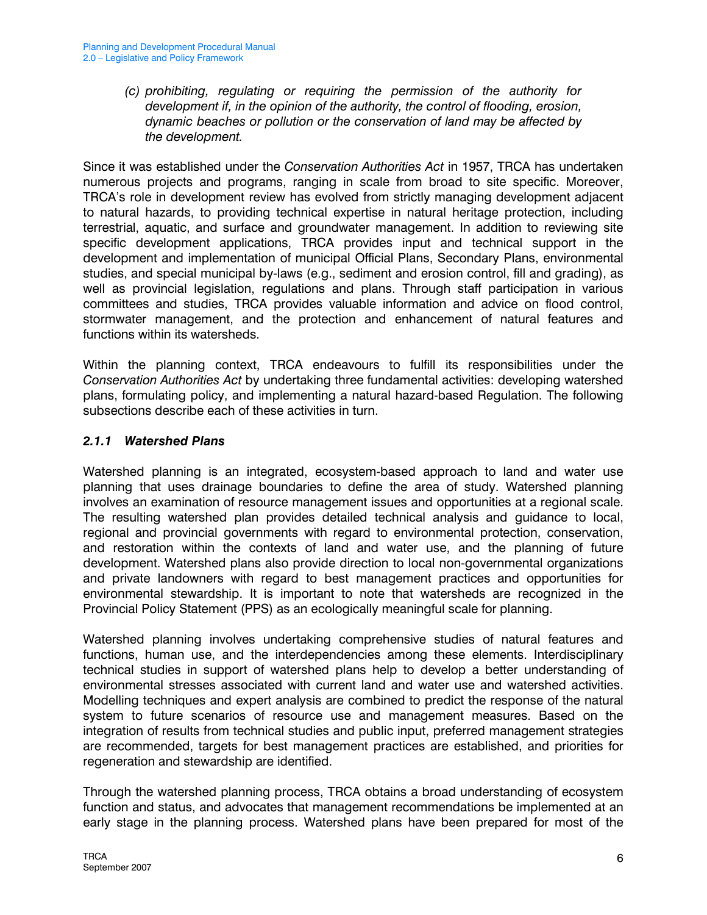(c) prohibiting, regulating or requiring the permission of the authority for development if, in the opinion of the authority, the control of flooding, erosion, dynamic beaches or pollution or the conservation of land may be affected by the development.

Since it was established under the *Conservation Authorities Act* in 1957. TRCA has undertaken numerous projects and programs, ranging in scale from broad to site specific. Moreover, TRCA's role in development review has evolved from strictly managing development adjacent to natural hazards, to providing technical expertise in natural heritage protection, including terrestrial, aquatic, and surface and groundwater management. In addition to reviewing site specific development applications, TRCA provides input and technical support in the development and implementation of municipal Official Plans, Secondary Plans, environmental studies, and special municipal by-laws (e.g., sediment and erosion control, fill and grading), as well as provincial legislation, regulations and plans. Through staff participation in various committees and studies, TRCA provides valuable information and advice on flood control, stormwater management, and the protection and enhancement of natural features and functions within its watersheds.

Within the planning context, TRCA endeavours to fulfill its responsibilities under the Conservation Authorities Act by undertaking three fundamental activities: developing watershed plans, formulating policy, and implementing a natural hazard-based Regulation. The following subsections describe each of these activities in turn.

#### 2.1.1 Watershed Plans

Watershed planning is an integrated, ecosystem-based approach to land and water use planning that uses drainage boundaries to define the area of study. Watershed planning involves an examination of resource management issues and opportunities at a regional scale. The resulting watershed plan provides detailed technical analysis and guidance to local, regional and provincial governments with regard to environmental protection, conservation, and restoration within the contexts of land and water use, and the planning of future development. Watershed plans also provide direction to local non-governmental organizations and private landowners with regard to best management practices and opportunities for environmental stewardship. It is important to note that watersheds are recognized in the Provincial Policy Statement (PPS) as an ecologically meaningful scale for planning.

Watershed planning involves undertaking comprehensive studies of natural features and functions, human use, and the interdependencies among these elements. Interdisciplinary technical studies in support of watershed plans help to develop a better understanding of environmental stresses associated with current land and water use and watershed activities. Modelling techniques and expert analysis are combined to predict the response of the natural system to future scenarios of resource use and management measures. Based on the integration of results from technical studies and public input, preferred management strategies are recommended, targets for best management practices are established, and priorities for regeneration and stewardship are identified.

Through the watershed planning process, TRCA obtains a broad understanding of ecosystem function and status, and advocates that management recommendations be implemented at an early stage in the planning process. Watershed plans have been prepared for most of the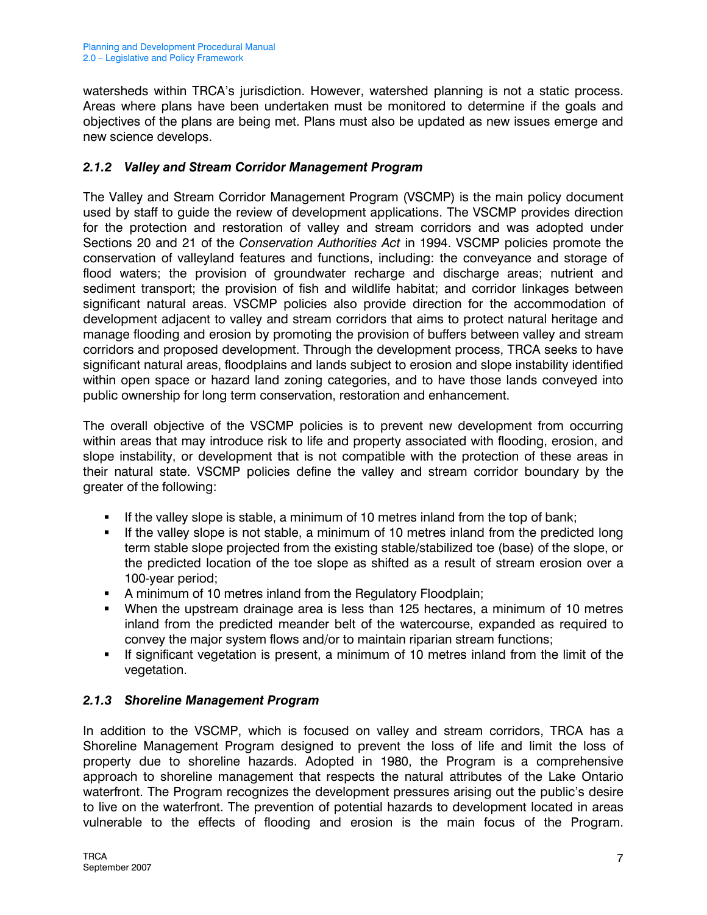watersheds within TRCA's jurisdiction. However, watershed planning is not a static process. Areas where plans have been undertaken must be monitored to determine if the goals and objectives of the plans are being met. Plans must also be updated as new issues emerge and new science develops.

## 2.1.2 Valley and Stream Corridor Management Program

The Valley and Stream Corridor Management Program (VSCMP) is the main policy document used by staff to guide the review of development applications. The VSCMP provides direction for the protection and restoration of valley and stream corridors and was adopted under Sections 20 and 21 of the Conservation Authorities Act in 1994. VSCMP policies promote the conservation of valleyland features and functions, including: the conveyance and storage of flood waters; the provision of groundwater recharge and discharge areas; nutrient and sediment transport; the provision of fish and wildlife habitat; and corridor linkages between significant natural areas. VSCMP policies also provide direction for the accommodation of development adjacent to valley and stream corridors that aims to protect natural heritage and manage flooding and erosion by promoting the provision of buffers between valley and stream corridors and proposed development. Through the development process, TRCA seeks to have significant natural areas, floodplains and lands subject to erosion and slope instability identified within open space or hazard land zoning categories, and to have those lands conveyed into public ownership for long term conservation, restoration and enhancement.

The overall objective of the VSCMP policies is to prevent new development from occurring within areas that may introduce risk to life and property associated with flooding, erosion, and slope instability, or development that is not compatible with the protection of these areas in their natural state. VSCMP policies define the valley and stream corridor boundary by the greater of the following:

- If the valley slope is stable, a minimum of 10 metres inland from the top of bank;
- If the valley slope is not stable, a minimum of 10 metres inland from the predicted long term stable slope projected from the existing stable/stabilized toe (base) of the slope, or the predicted location of the toe slope as shifted as a result of stream erosion over a 100-year period;
- **A minimum of 10 metres inland from the Regulatory Floodplain;**
- When the upstream drainage area is less than 125 hectares, a minimum of 10 metres inland from the predicted meander belt of the watercourse, expanded as required to convey the major system flows and/or to maintain riparian stream functions;
- If significant vegetation is present, a minimum of 10 metres inland from the limit of the vegetation.

# 2.1.3 Shoreline Management Program

In addition to the VSCMP, which is focused on valley and stream corridors, TRCA has a Shoreline Management Program designed to prevent the loss of life and limit the loss of property due to shoreline hazards. Adopted in 1980, the Program is a comprehensive approach to shoreline management that respects the natural attributes of the Lake Ontario waterfront. The Program recognizes the development pressures arising out the public's desire to live on the waterfront. The prevention of potential hazards to development located in areas vulnerable to the effects of flooding and erosion is the main focus of the Program.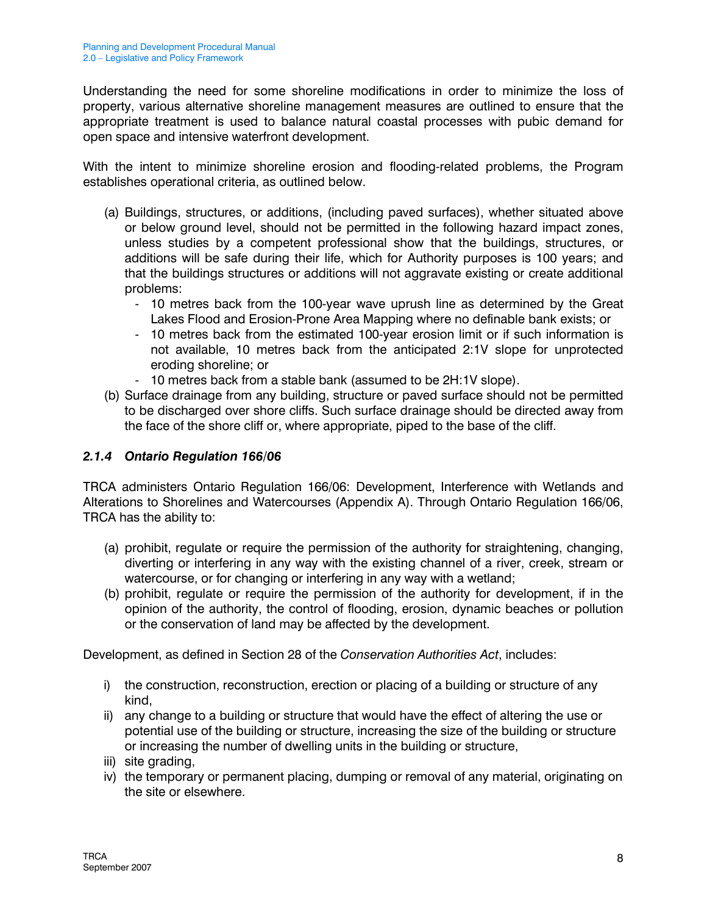Understanding the need for some shoreline modifications in order to minimize the loss of property, various alternative shoreline management measures are outlined to ensure that the appropriate treatment is used to balance natural coastal processes with pubic demand for open space and intensive waterfront development.

With the intent to minimize shoreline erosion and flooding-related problems, the Program establishes operational criteria, as outlined below.

- (a) Buildings, structures, or additions, (including paved surfaces), whether situated above or below ground level, should not be permitted in the following hazard impact zones, unless studies by a competent professional show that the buildings, structures, or additions will be safe during their life, which for Authority purposes is 100 years; and that the buildings structures or additions will not aggravate existing or create additional problems:
	- 10 metres back from the 100-year wave uprush line as determined by the Great Lakes Flood and Erosion-Prone Area Mapping where no definable bank exists; or
	- 10 metres back from the estimated 100-year erosion limit or if such information is not available, 10 metres back from the anticipated 2:1V slope for unprotected eroding shoreline; or
	- 10 metres back from a stable bank (assumed to be 2H:1V slope).
- (b) Surface drainage from any building, structure or paved surface should not be permitted to be discharged over shore cliffs. Such surface drainage should be directed away from the face of the shore cliff or, where appropriate, piped to the base of the cliff.

### 2.1.4 Ontario Regulation 166/06

TRCA administers Ontario Regulation 166/06: Development, Interference with Wetlands and Alterations to Shorelines and Watercourses (Appendix A). Through Ontario Regulation 166/06, TRCA has the ability to:

- (a) prohibit, regulate or require the permission of the authority for straightening, changing, diverting or interfering in any way with the existing channel of a river, creek, stream or watercourse, or for changing or interfering in any way with a wetland;
- (b) prohibit, regulate or require the permission of the authority for development, if in the opinion of the authority, the control of flooding, erosion, dynamic beaches or pollution or the conservation of land may be affected by the development.

Development, as defined in Section 28 of the Conservation Authorities Act, includes:

- i) the construction, reconstruction, erection or placing of a building or structure of any kind,
- ii) any change to a building or structure that would have the effect of altering the use or potential use of the building or structure, increasing the size of the building or structure or increasing the number of dwelling units in the building or structure,
- iii) site grading,
- iv) the temporary or permanent placing, dumping or removal of any material, originating on the site or elsewhere.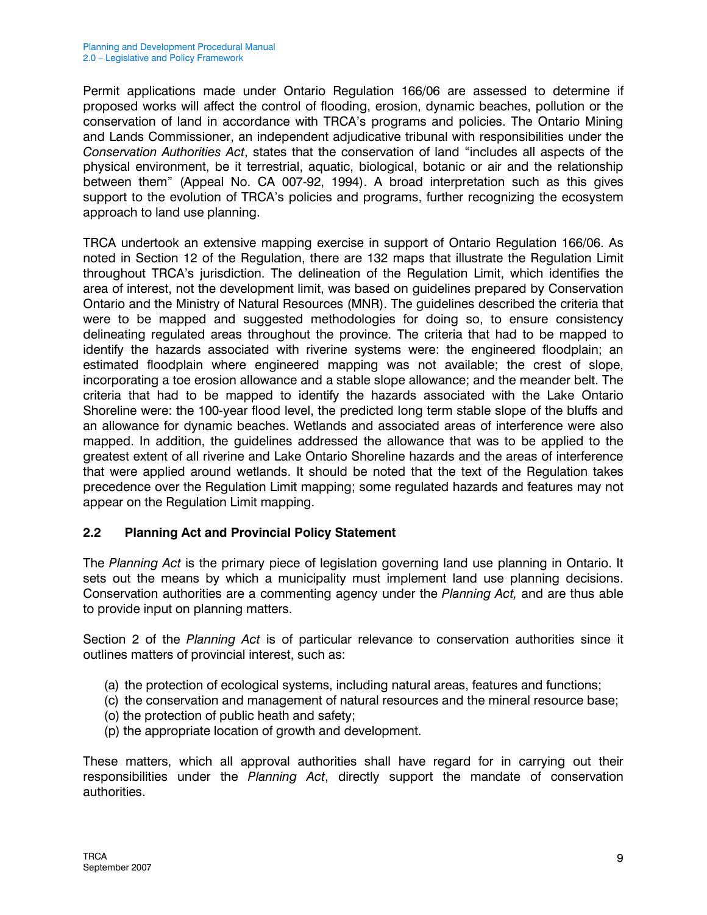Permit applications made under Ontario Regulation 166/06 are assessed to determine if proposed works will affect the control of flooding, erosion, dynamic beaches, pollution or the conservation of land in accordance with TRCA's programs and policies. The Ontario Mining and Lands Commissioner, an independent adjudicative tribunal with responsibilities under the Conservation Authorities Act, states that the conservation of land "includes all aspects of the physical environment, be it terrestrial, aquatic, biological, botanic or air and the relationship between them" (Appeal No. CA 007-92, 1994). A broad interpretation such as this gives support to the evolution of TRCA's policies and programs, further recognizing the ecosystem approach to land use planning.

TRCA undertook an extensive mapping exercise in support of Ontario Regulation 166/06. As noted in Section 12 of the Regulation, there are 132 maps that illustrate the Regulation Limit throughout TRCA's jurisdiction. The delineation of the Regulation Limit, which identifies the area of interest, not the development limit, was based on guidelines prepared by Conservation Ontario and the Ministry of Natural Resources (MNR). The guidelines described the criteria that were to be mapped and suggested methodologies for doing so, to ensure consistency delineating regulated areas throughout the province. The criteria that had to be mapped to identify the hazards associated with riverine systems were: the engineered floodplain; an estimated floodplain where engineered mapping was not available; the crest of slope, incorporating a toe erosion allowance and a stable slope allowance; and the meander belt. The criteria that had to be mapped to identify the hazards associated with the Lake Ontario Shoreline were: the 100-year flood level, the predicted long term stable slope of the bluffs and an allowance for dynamic beaches. Wetlands and associated areas of interference were also mapped. In addition, the guidelines addressed the allowance that was to be applied to the greatest extent of all riverine and Lake Ontario Shoreline hazards and the areas of interference that were applied around wetlands. It should be noted that the text of the Regulation takes precedence over the Regulation Limit mapping; some regulated hazards and features may not appear on the Regulation Limit mapping.

#### 2.2 Planning Act and Provincial Policy Statement

The Planning Act is the primary piece of legislation governing land use planning in Ontario. It sets out the means by which a municipality must implement land use planning decisions. Conservation authorities are a commenting agency under the Planning Act, and are thus able to provide input on planning matters.

Section 2 of the Planning Act is of particular relevance to conservation authorities since it outlines matters of provincial interest, such as:

- (a) the protection of ecological systems, including natural areas, features and functions;
- (c) the conservation and management of natural resources and the mineral resource base;
- (o) the protection of public heath and safety;
- (p) the appropriate location of growth and development.

These matters, which all approval authorities shall have regard for in carrying out their responsibilities under the Planning Act, directly support the mandate of conservation authorities.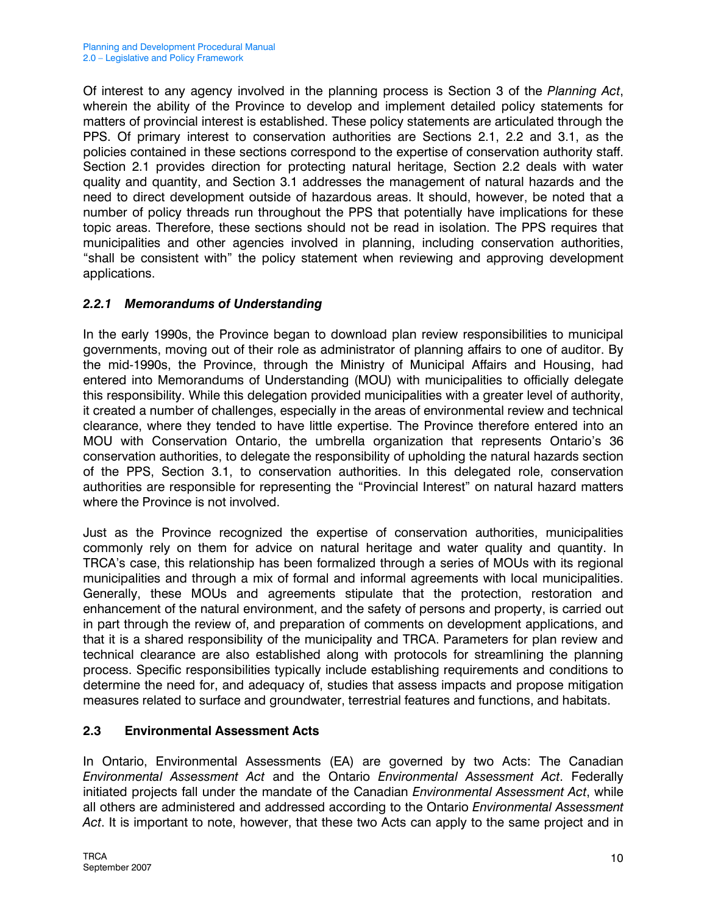Of interest to any agency involved in the planning process is Section 3 of the Planning Act, wherein the ability of the Province to develop and implement detailed policy statements for matters of provincial interest is established. These policy statements are articulated through the PPS. Of primary interest to conservation authorities are Sections 2.1, 2.2 and 3.1, as the policies contained in these sections correspond to the expertise of conservation authority staff. Section 2.1 provides direction for protecting natural heritage, Section 2.2 deals with water quality and quantity, and Section 3.1 addresses the management of natural hazards and the need to direct development outside of hazardous areas. It should, however, be noted that a number of policy threads run throughout the PPS that potentially have implications for these topic areas. Therefore, these sections should not be read in isolation. The PPS requires that municipalities and other agencies involved in planning, including conservation authorities, "shall be consistent with" the policy statement when reviewing and approving development applications.

## 2.2.1 Memorandums of Understanding

In the early 1990s, the Province began to download plan review responsibilities to municipal governments, moving out of their role as administrator of planning affairs to one of auditor. By the mid-1990s, the Province, through the Ministry of Municipal Affairs and Housing, had entered into Memorandums of Understanding (MOU) with municipalities to officially delegate this responsibility. While this delegation provided municipalities with a greater level of authority, it created a number of challenges, especially in the areas of environmental review and technical clearance, where they tended to have little expertise. The Province therefore entered into an MOU with Conservation Ontario, the umbrella organization that represents Ontario's 36 conservation authorities, to delegate the responsibility of upholding the natural hazards section of the PPS, Section 3.1, to conservation authorities. In this delegated role, conservation authorities are responsible for representing the "Provincial Interest" on natural hazard matters where the Province is not involved.

Just as the Province recognized the expertise of conservation authorities, municipalities commonly rely on them for advice on natural heritage and water quality and quantity. In TRCA's case, this relationship has been formalized through a series of MOUs with its regional municipalities and through a mix of formal and informal agreements with local municipalities. Generally, these MOUs and agreements stipulate that the protection, restoration and enhancement of the natural environment, and the safety of persons and property, is carried out in part through the review of, and preparation of comments on development applications, and that it is a shared responsibility of the municipality and TRCA. Parameters for plan review and technical clearance are also established along with protocols for streamlining the planning process. Specific responsibilities typically include establishing requirements and conditions to determine the need for, and adequacy of, studies that assess impacts and propose mitigation measures related to surface and groundwater, terrestrial features and functions, and habitats.

#### 2.3 Environmental Assessment Acts

In Ontario, Environmental Assessments (EA) are governed by two Acts: The Canadian Environmental Assessment Act and the Ontario Environmental Assessment Act. Federally initiated projects fall under the mandate of the Canadian *Environmental Assessment Act*, while all others are administered and addressed according to the Ontario Environmental Assessment Act. It is important to note, however, that these two Acts can apply to the same project and in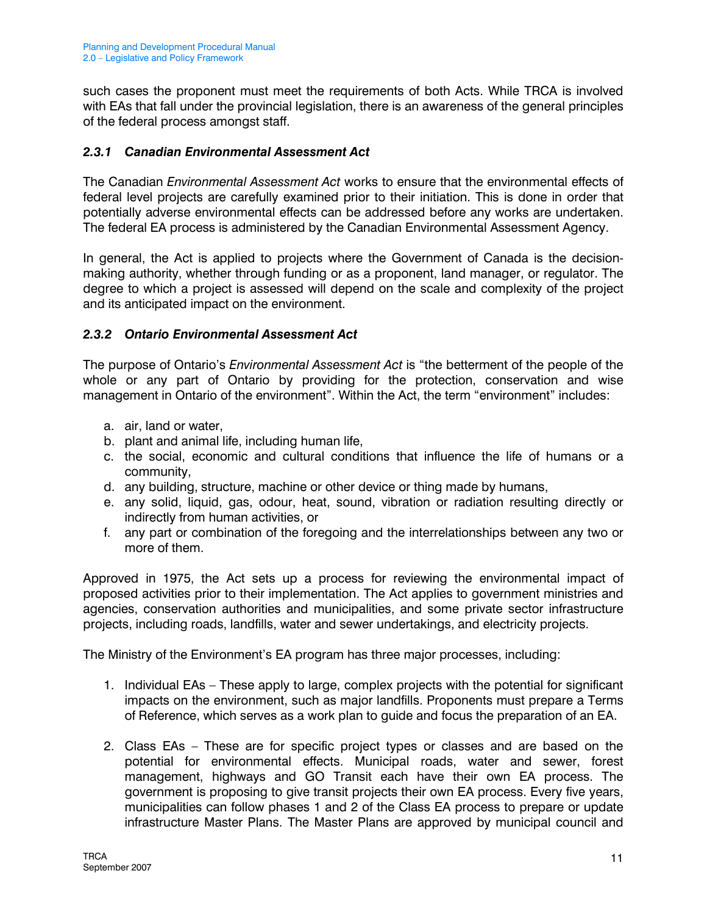such cases the proponent must meet the requirements of both Acts. While TRCA is involved with EAs that fall under the provincial legislation, there is an awareness of the general principles of the federal process amongst staff.

### 2.3.1 Canadian Environmental Assessment Act

The Canadian *Environmental Assessment Act* works to ensure that the environmental effects of federal level projects are carefully examined prior to their initiation. This is done in order that potentially adverse environmental effects can be addressed before any works are undertaken. The federal EA process is administered by the Canadian Environmental Assessment Agency.

In general, the Act is applied to projects where the Government of Canada is the decisionmaking authority, whether through funding or as a proponent, land manager, or regulator. The degree to which a project is assessed will depend on the scale and complexity of the project and its anticipated impact on the environment.

#### 2.3.2 Ontario Environmental Assessment Act

The purpose of Ontario's Environmental Assessment Act is "the betterment of the people of the whole or any part of Ontario by providing for the protection, conservation and wise management in Ontario of the environment". Within the Act, the term "environment" includes:

- a. air, land or water,
- b. plant and animal life, including human life,
- c. the social, economic and cultural conditions that influence the life of humans or a community,
- d. any building, structure, machine or other device or thing made by humans,
- e. any solid, liquid, gas, odour, heat, sound, vibration or radiation resulting directly or indirectly from human activities, or
- f. any part or combination of the foregoing and the interrelationships between any two or more of them.

Approved in 1975, the Act sets up a process for reviewing the environmental impact of proposed activities prior to their implementation. The Act applies to government ministries and agencies, conservation authorities and municipalities, and some private sector infrastructure projects, including roads, landfills, water and sewer undertakings, and electricity projects.

The Ministry of the Environment's EA program has three major processes, including:

- 1. Individual EAs These apply to large, complex projects with the potential for significant impacts on the environment, such as major landfills. Proponents must prepare a Terms of Reference, which serves as a work plan to guide and focus the preparation of an EA.
- 2. Class EAs These are for specific project types or classes and are based on the potential for environmental effects. Municipal roads, water and sewer, forest management, highways and GO Transit each have their own EA process. The government is proposing to give transit projects their own EA process. Every five years, municipalities can follow phases 1 and 2 of the Class EA process to prepare or update infrastructure Master Plans. The Master Plans are approved by municipal council and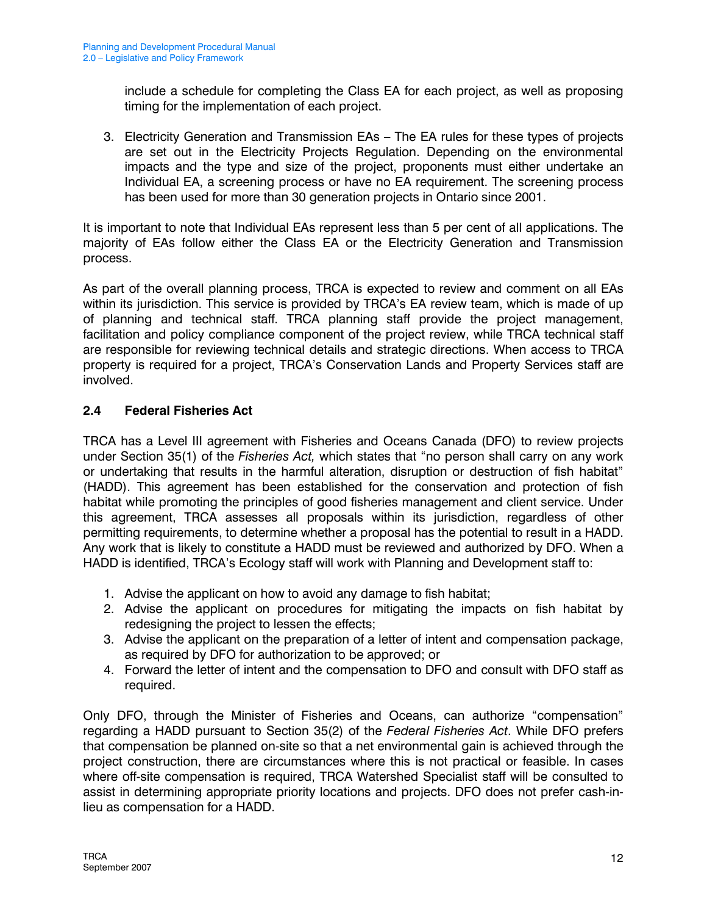include a schedule for completing the Class EA for each project, as well as proposing timing for the implementation of each project.

3. Electricity Generation and Transmission EAs – The EA rules for these types of projects are set out in the Electricity Projects Regulation. Depending on the environmental impacts and the type and size of the project, proponents must either undertake an Individual EA, a screening process or have no EA requirement. The screening process has been used for more than 30 generation projects in Ontario since 2001.

It is important to note that Individual EAs represent less than 5 per cent of all applications. The majority of EAs follow either the Class EA or the Electricity Generation and Transmission process.

As part of the overall planning process, TRCA is expected to review and comment on all EAs within its jurisdiction. This service is provided by TRCA's EA review team, which is made of up of planning and technical staff. TRCA planning staff provide the project management, facilitation and policy compliance component of the project review, while TRCA technical staff are responsible for reviewing technical details and strategic directions. When access to TRCA property is required for a project, TRCA's Conservation Lands and Property Services staff are involved.

## 2.4 Federal Fisheries Act

TRCA has a Level III agreement with Fisheries and Oceans Canada (DFO) to review projects under Section 35(1) of the Fisheries Act, which states that "no person shall carry on any work or undertaking that results in the harmful alteration, disruption or destruction of fish habitat" (HADD). This agreement has been established for the conservation and protection of fish habitat while promoting the principles of good fisheries management and client service. Under this agreement, TRCA assesses all proposals within its jurisdiction, regardless of other permitting requirements, to determine whether a proposal has the potential to result in a HADD. Any work that is likely to constitute a HADD must be reviewed and authorized by DFO. When a HADD is identified, TRCA's Ecology staff will work with Planning and Development staff to:

- 1. Advise the applicant on how to avoid any damage to fish habitat;
- 2. Advise the applicant on procedures for mitigating the impacts on fish habitat by redesigning the project to lessen the effects;
- 3. Advise the applicant on the preparation of a letter of intent and compensation package, as required by DFO for authorization to be approved; or
- 4. Forward the letter of intent and the compensation to DFO and consult with DFO staff as required.

Only DFO, through the Minister of Fisheries and Oceans, can authorize "compensation" regarding a HADD pursuant to Section 35(2) of the Federal Fisheries Act. While DFO prefers that compensation be planned on-site so that a net environmental gain is achieved through the project construction, there are circumstances where this is not practical or feasible. In cases where off-site compensation is required, TRCA Watershed Specialist staff will be consulted to assist in determining appropriate priority locations and projects. DFO does not prefer cash-inlieu as compensation for a HADD.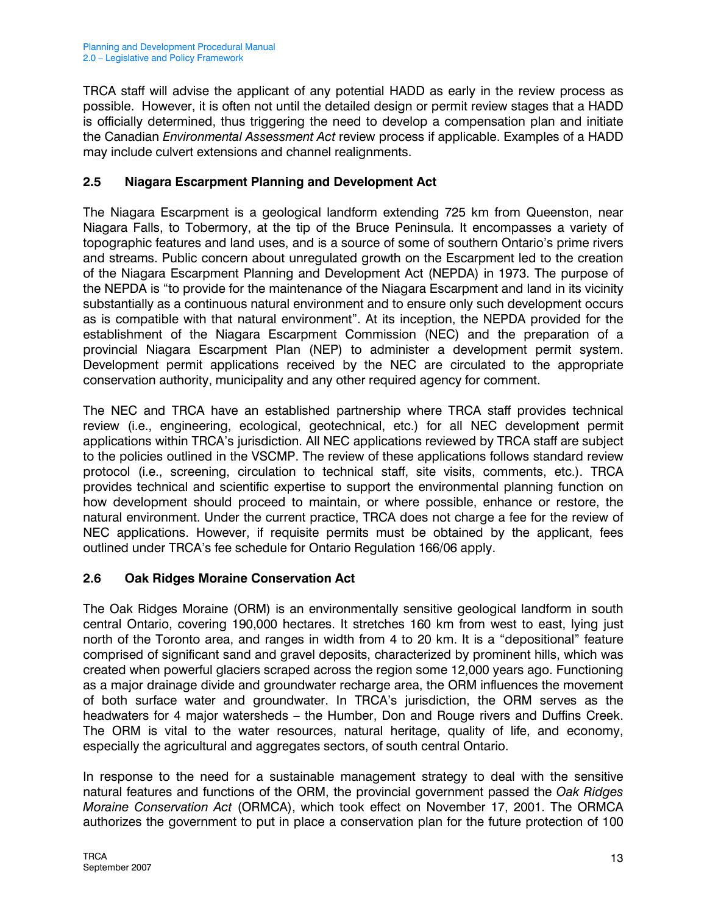TRCA staff will advise the applicant of any potential HADD as early in the review process as possible. However, it is often not until the detailed design or permit review stages that a HADD is officially determined, thus triggering the need to develop a compensation plan and initiate the Canadian *Environmental Assessment Act* review process if applicable. Examples of a HADD may include culvert extensions and channel realignments.

# 2.5 Niagara Escarpment Planning and Development Act

The Niagara Escarpment is a geological landform extending 725 km from Queenston, near Niagara Falls, to Tobermory, at the tip of the Bruce Peninsula. It encompasses a variety of topographic features and land uses, and is a source of some of southern Ontario's prime rivers and streams. Public concern about unregulated growth on the Escarpment led to the creation of the Niagara Escarpment Planning and Development Act (NEPDA) in 1973. The purpose of the NEPDA is "to provide for the maintenance of the Niagara Escarpment and land in its vicinity substantially as a continuous natural environment and to ensure only such development occurs as is compatible with that natural environment". At its inception, the NEPDA provided for the establishment of the Niagara Escarpment Commission (NEC) and the preparation of a provincial Niagara Escarpment Plan (NEP) to administer a development permit system. Development permit applications received by the NEC are circulated to the appropriate conservation authority, municipality and any other required agency for comment.

The NEC and TRCA have an established partnership where TRCA staff provides technical review (i.e., engineering, ecological, geotechnical, etc.) for all NEC development permit applications within TRCA's jurisdiction. All NEC applications reviewed by TRCA staff are subject to the policies outlined in the VSCMP. The review of these applications follows standard review protocol (i.e., screening, circulation to technical staff, site visits, comments, etc.). TRCA provides technical and scientific expertise to support the environmental planning function on how development should proceed to maintain, or where possible, enhance or restore, the natural environment. Under the current practice, TRCA does not charge a fee for the review of NEC applications. However, if requisite permits must be obtained by the applicant, fees outlined under TRCA's fee schedule for Ontario Regulation 166/06 apply.

#### 2.6 Oak Ridges Moraine Conservation Act

The Oak Ridges Moraine (ORM) is an environmentally sensitive geological landform in south central Ontario, covering 190,000 hectares. It stretches 160 km from west to east, lying just north of the Toronto area, and ranges in width from 4 to 20 km. It is a "depositional" feature comprised of significant sand and gravel deposits, characterized by prominent hills, which was created when powerful glaciers scraped across the region some 12,000 years ago. Functioning as a major drainage divide and groundwater recharge area, the ORM influences the movement of both surface water and groundwater. In TRCA's jurisdiction, the ORM serves as the headwaters for 4 major watersheds – the Humber, Don and Rouge rivers and Duffins Creek. The ORM is vital to the water resources, natural heritage, quality of life, and economy, especially the agricultural and aggregates sectors, of south central Ontario.

In response to the need for a sustainable management strategy to deal with the sensitive natural features and functions of the ORM, the provincial government passed the Oak Ridges Moraine Conservation Act (ORMCA), which took effect on November 17, 2001. The ORMCA authorizes the government to put in place a conservation plan for the future protection of 100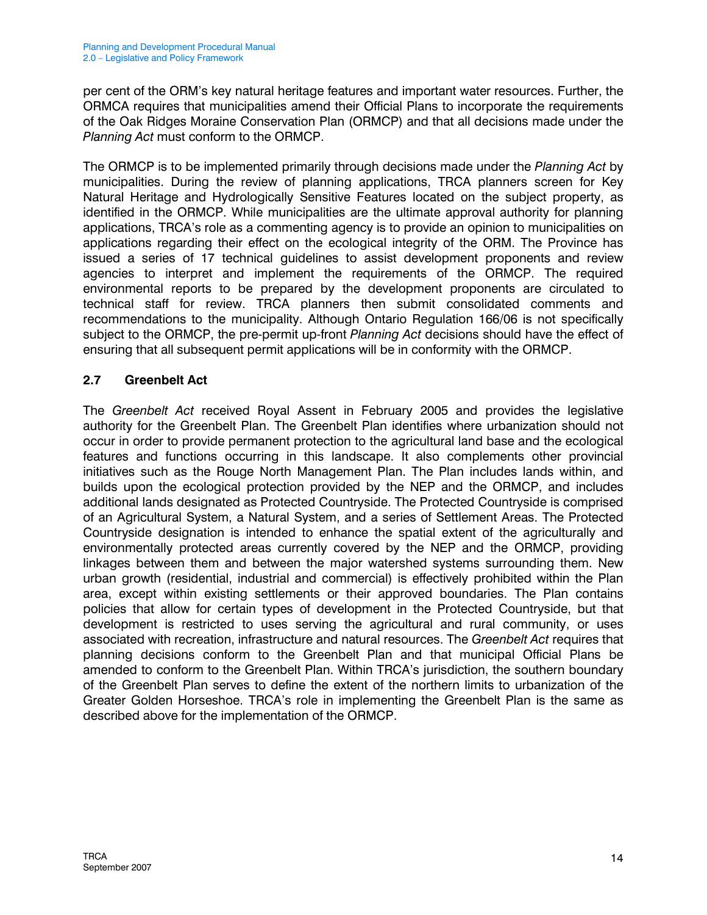per cent of the ORM's key natural heritage features and important water resources. Further, the ORMCA requires that municipalities amend their Official Plans to incorporate the requirements of the Oak Ridges Moraine Conservation Plan (ORMCP) and that all decisions made under the Planning Act must conform to the ORMCP.

The ORMCP is to be implemented primarily through decisions made under the Planning Act by municipalities. During the review of planning applications, TRCA planners screen for Key Natural Heritage and Hydrologically Sensitive Features located on the subject property, as identified in the ORMCP. While municipalities are the ultimate approval authority for planning applications, TRCA's role as a commenting agency is to provide an opinion to municipalities on applications regarding their effect on the ecological integrity of the ORM. The Province has issued a series of 17 technical guidelines to assist development proponents and review agencies to interpret and implement the requirements of the ORMCP. The required environmental reports to be prepared by the development proponents are circulated to technical staff for review. TRCA planners then submit consolidated comments and recommendations to the municipality. Although Ontario Regulation 166/06 is not specifically subject to the ORMCP, the pre-permit up-front Planning Act decisions should have the effect of ensuring that all subsequent permit applications will be in conformity with the ORMCP.

#### 2.7 Greenbelt Act

The Greenbelt Act received Royal Assent in February 2005 and provides the legislative authority for the Greenbelt Plan. The Greenbelt Plan identifies where urbanization should not occur in order to provide permanent protection to the agricultural land base and the ecological features and functions occurring in this landscape. It also complements other provincial initiatives such as the Rouge North Management Plan. The Plan includes lands within, and builds upon the ecological protection provided by the NEP and the ORMCP, and includes additional lands designated as Protected Countryside. The Protected Countryside is comprised of an Agricultural System, a Natural System, and a series of Settlement Areas. The Protected Countryside designation is intended to enhance the spatial extent of the agriculturally and environmentally protected areas currently covered by the NEP and the ORMCP, providing linkages between them and between the major watershed systems surrounding them. New urban growth (residential, industrial and commercial) is effectively prohibited within the Plan area, except within existing settlements or their approved boundaries. The Plan contains policies that allow for certain types of development in the Protected Countryside, but that development is restricted to uses serving the agricultural and rural community, or uses associated with recreation, infrastructure and natural resources. The Greenbelt Act requires that planning decisions conform to the Greenbelt Plan and that municipal Official Plans be amended to conform to the Greenbelt Plan. Within TRCA's jurisdiction, the southern boundary of the Greenbelt Plan serves to define the extent of the northern limits to urbanization of the Greater Golden Horseshoe. TRCA's role in implementing the Greenbelt Plan is the same as described above for the implementation of the ORMCP.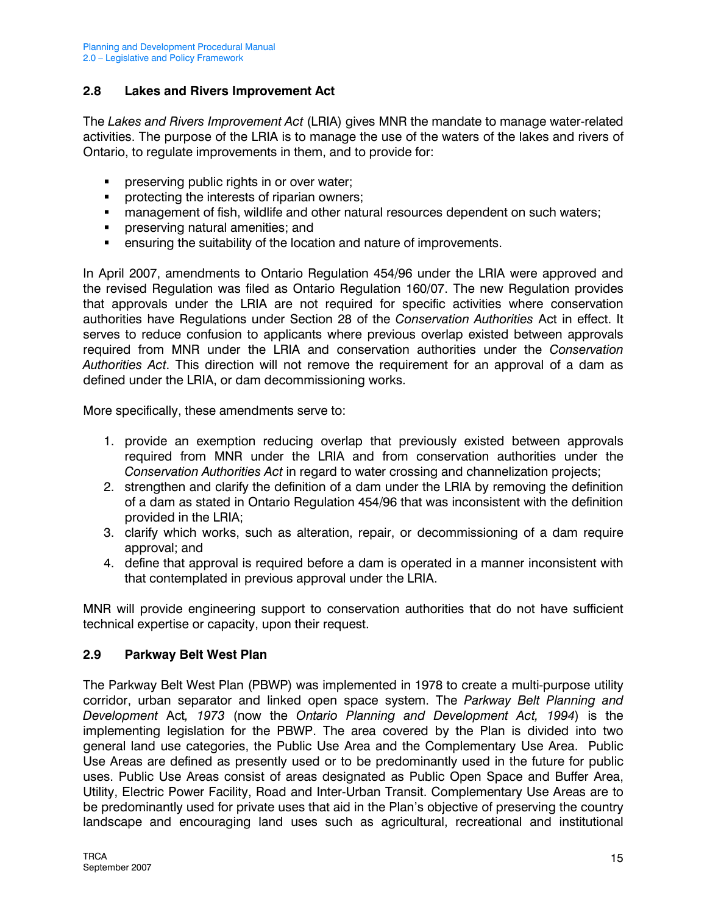#### 2.8 Lakes and Rivers Improvement Act

The Lakes and Rivers Improvement Act (LRIA) gives MNR the mandate to manage water-related activities. The purpose of the LRIA is to manage the use of the waters of the lakes and rivers of Ontario, to regulate improvements in them, and to provide for:

- **PEDITE:** preserving public rights in or over water;
- **PEDEPTER FIGHTER Interests of riparian owners;**
- **nanagement of fish, wildlife and other natural resources dependent on such waters;**
- **Permission in an interest** preserving natural amenities; and
- ensuring the suitability of the location and nature of improvements.

In April 2007, amendments to Ontario Regulation 454/96 under the LRIA were approved and the revised Regulation was filed as Ontario Regulation 160/07. The new Regulation provides that approvals under the LRIA are not required for specific activities where conservation authorities have Regulations under Section 28 of the Conservation Authorities Act in effect. It serves to reduce confusion to applicants where previous overlap existed between approvals required from MNR under the LRIA and conservation authorities under the Conservation Authorities Act. This direction will not remove the requirement for an approval of a dam as defined under the LRIA, or dam decommissioning works.

More specifically, these amendments serve to:

- 1. provide an exemption reducing overlap that previously existed between approvals required from MNR under the LRIA and from conservation authorities under the Conservation Authorities Act in regard to water crossing and channelization projects;
- 2. strengthen and clarify the definition of a dam under the LRIA by removing the definition of a dam as stated in Ontario Regulation 454/96 that was inconsistent with the definition provided in the LRIA;
- 3. clarify which works, such as alteration, repair, or decommissioning of a dam require approval; and
- 4. define that approval is required before a dam is operated in a manner inconsistent with that contemplated in previous approval under the LRIA.

MNR will provide engineering support to conservation authorities that do not have sufficient technical expertise or capacity, upon their request.

#### 2.9 Parkway Belt West Plan

The Parkway Belt West Plan (PBWP) was implemented in 1978 to create a multi-purpose utility corridor, urban separator and linked open space system. The Parkway Belt Planning and Development Act, 1973 (now the Ontario Planning and Development Act, 1994) is the implementing legislation for the PBWP. The area covered by the Plan is divided into two general land use categories, the Public Use Area and the Complementary Use Area. Public Use Areas are defined as presently used or to be predominantly used in the future for public uses. Public Use Areas consist of areas designated as Public Open Space and Buffer Area, Utility, Electric Power Facility, Road and Inter-Urban Transit. Complementary Use Areas are to be predominantly used for private uses that aid in the Plan's objective of preserving the country landscape and encouraging land uses such as agricultural, recreational and institutional